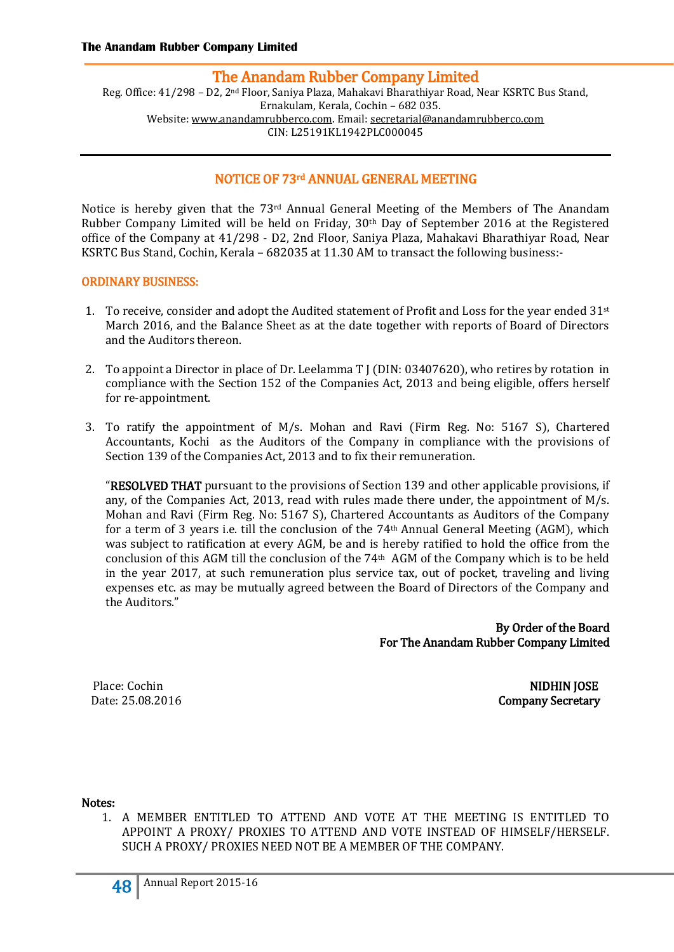Reg. Office: 41/298 – D2, 2nd Floor, Saniya Plaza, Mahakavi Bharathiyar Road, Near KSRTC Bus Stand, Ernakulam, Kerala, Cochin – 682 035. Website[: www.anandamrubberco.com.](http://www.anandamrubberco.com/) Email[: secretarial@anandamrubberco.com](mailto:secretarial@anandamrubberco.com) CIN: L25191KL1942PLC000045

# NOTICE OF 73rd ANNUAL GENERAL MEETING

Notice is hereby given that the  $73<sup>rd</sup>$  Annual General Meeting of the Members of The Anandam Rubber Company Limited will be held on Friday, 30th Day of September 2016 at the Registered office of the Company at 41/298 - D2, 2nd Floor, Saniya Plaza, Mahakavi Bharathiyar Road, Near KSRTC Bus Stand, Cochin, Kerala – 682035 at 11.30 AM to transact the following business:-

#### ORDINARY BUSINESS:

- 1. To receive, consider and adopt the Audited statement of Profit and Loss for the year ended 31st March 2016, and the Balance Sheet as at the date together with reports of Board of Directors and the Auditors thereon.
- 2. To appoint a Director in place of Dr. Leelamma T J (DIN: 03407620), who retires by rotation in compliance with the Section 152 of the Companies Act, 2013 and being eligible, offers herself for re-appointment.
- 3. To ratify the appointment of M/s. Mohan and Ravi (Firm Reg. No: 5167 S), Chartered Accountants, Kochi as the Auditors of the Company in compliance with the provisions of Section 139 of the Companies Act, 2013 and to fix their remuneration.

"RESOLVED THAT pursuant to the provisions of Section 139 and other applicable provisions, if any, of the Companies Act, 2013, read with rules made there under, the appointment of M/s. Mohan and Ravi (Firm Reg. No: 5167 S), Chartered Accountants as Auditors of the Company for a term of 3 years i.e. till the conclusion of the  $74<sup>th</sup>$  Annual General Meeting (AGM), which was subject to ratification at every AGM, be and is hereby ratified to hold the office from the conclusion of this AGM till the conclusion of the 74th AGM of the Company which is to be held in the year 2017, at such remuneration plus service tax, out of pocket, traveling and living expenses etc. as may be mutually agreed between the Board of Directors of the Company and the Auditors."

> By Order of the Board For The Anandam Rubber Company Limited

Place: Cochin NIDHIN JOSE Date: 25.08.2016 Company Secretary

Notes:

1. A MEMBER ENTITLED TO ATTEND AND VOTE AT THE MEETING IS ENTITLED TO APPOINT A PROXY/ PROXIES TO ATTEND AND VOTE INSTEAD OF HIMSELF/HERSELF. SUCH A PROXY/ PROXIES NEED NOT BE A MEMBER OF THE COMPANY.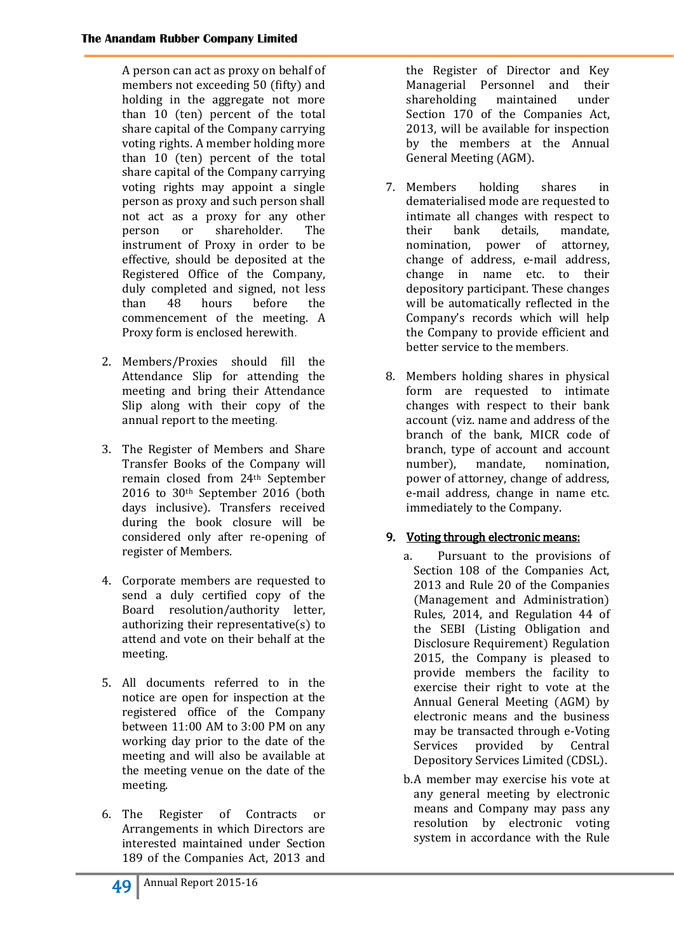A person can act as proxy on behalf of members not exceeding 50 (fifty) and holding in the aggregate not more than 10 (ten) percent of the total share capital of the Company carrying voting rights. A member holding more than 10 (ten) percent of the total share capital of the Company carrying voting rights may appoint a single person as proxy and such person shall not act as a proxy for any other person or shareholder. The instrument of Proxy in order to be effective, should be deposited at the Registered Office of the Company, duly completed and signed, not less than 48 hours before the commencement of the meeting. A Proxy form is enclosed herewith.

- 2. Members/Proxies should fill the Attendance Slip for attending the meeting and bring their Attendance Slip along with their copy of the annual report to the meeting.
- 3. The Register of Members and Share Transfer Books of the Company will remain closed from 24th September 2016 to 30th September 2016 (both days inclusive). Transfers received during the book closure will be considered only after re-opening of register of Members.
- 4. Corporate members are requested to send a duly certified copy of the Board resolution/authority letter, authorizing their representative(s) to attend and vote on their behalf at the meeting.
- 5. All documents referred to in the notice are open for inspection at the registered office of the Company between 11:00 AM to 3:00 PM on any working day prior to the date of the meeting and will also be available at the meeting venue on the date of the meeting.
- 6. The Register of Contracts or Arrangements in which Directors are interested maintained under Section 189 of the Companies Act, 2013 and

the Register of Director and Key Managerial Personnel and their shareholding maintained under Section 170 of the Companies Act, 2013, will be available for inspection by the members at the Annual General Meeting (AGM).

- 7. Members holding shares in dematerialised mode are requested to intimate all changes with respect to their bank details, mandate, nomination, power of attorney, change of address, e-mail address, change in name etc. to their depository participant. These changes will be automatically reflected in the Company's records which will help the Company to provide efficient and better service to the members.
- 8. Members holding shares in physical form are requested to intimate changes with respect to their bank account (viz. name and address of the branch of the bank, MICR code of branch, type of account and account number), mandate, nomination, power of attorney, change of address, e-mail address, change in name etc. immediately to the Company.

# 9. Voting through electronic means:

- a. Pursuant to the provisions of Section 108 of the Companies Act, 2013 and Rule 20 of the Companies (Management and Administration) Rules, 2014, and Regulation 44 of the SEBI (Listing Obligation and Disclosure Requirement) Regulation 2015, the Company is pleased to provide members the facility to exercise their right to vote at the Annual General Meeting (AGM) by electronic means and the business may be transacted through e-Voting Services provided by Central Depository Services Limited (CDSL).
- b.A member may exercise his vote at any general meeting by electronic means and Company may pass any resolution by electronic voting system in accordance with the Rule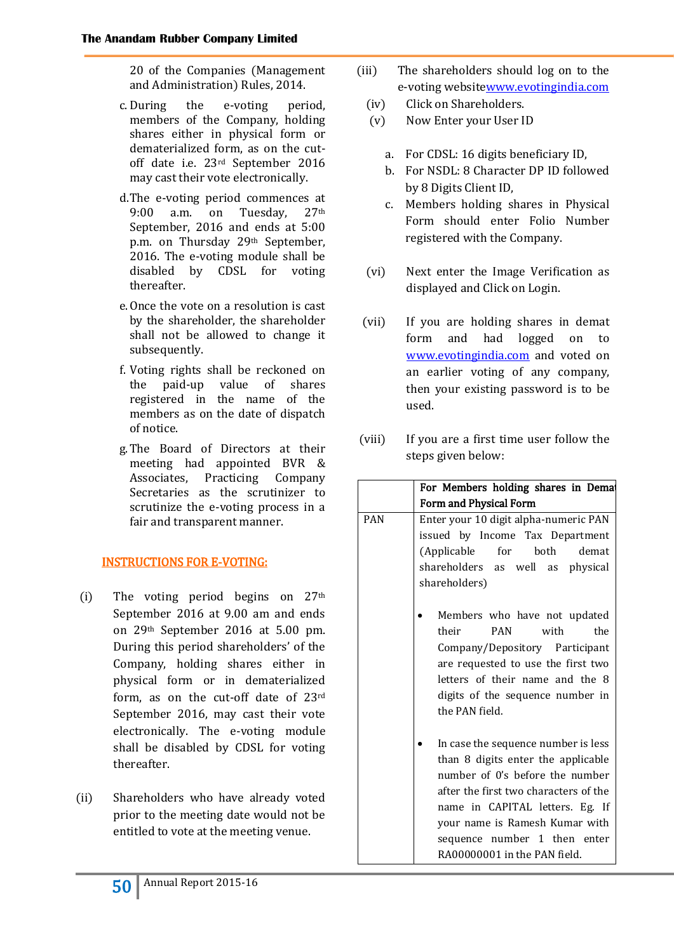20 of the Companies (Management and Administration) Rules, 2014.

- c.During the e-voting period, members of the Company, holding shares either in physical form or dematerialized form, as on the cutoff date i.e. 23rd September 2016 may cast their vote electronically.
- d.The e-voting period commences at 9:00 a.m. on Tuesday, 27th September, 2016 and ends at 5:00 p.m. on Thursday 29th September, 2016. The e-voting module shall be disabled by CDSL for voting thereafter.
- e.Once the vote on a resolution is cast by the shareholder, the shareholder shall not be allowed to change it subsequently.
- f. Voting rights shall be reckoned on the paid-up value of shares registered in the name of the members as on the date of dispatch of notice.
- g.The Board of Directors at their meeting had appointed BVR & Associates, Practicing Company Secretaries as the scrutinizer to scrutinize the e-voting process in a fair and transparent manner.

# INSTRUCTIONS FOR E-VOTING:

- (i) The voting period begins on  $27<sup>th</sup>$ September 2016 at 9.00 am and ends on 29th September 2016 at 5.00 pm. During this period shareholders' of the Company, holding shares either in physical form or in dematerialized form, as on the cut-off date of 23rd September 2016, may cast their vote electronically. The e-voting module shall be disabled by CDSL for voting thereafter.
- (ii) Shareholders who have already voted prior to the meeting date would not be entitled to vote at the meeting venue.
- (iii) The shareholders should log on to the e-voting websit[ewww.evotingindia.com](http://www.evotingindia.com/)
	- (iv) Click on Shareholders.
	- (v) Now Enter your User ID
		- a. For CDSL: 16 digits beneficiary ID,
		- b. For NSDL: 8 Character DP ID followed by 8 Digits Client ID,
		- c. Members holding shares in Physical Form should enter Folio Number registered with the Company.
	- (vi) Next enter the Image Verification as displayed and Click on Login.
- (vii) If you are holding shares in demat form and had logged on to [www.evotingindia.com](http://www.evotingindia.com/) and voted on an earlier voting of any company, then your existing password is to be used.
- (viii) If you are a first time user follow the steps given below:

|            | For Members holding shares in Demat                                                                                                                                                                                                                                                        |  |  |  |  |
|------------|--------------------------------------------------------------------------------------------------------------------------------------------------------------------------------------------------------------------------------------------------------------------------------------------|--|--|--|--|
|            | Form and Physical Form                                                                                                                                                                                                                                                                     |  |  |  |  |
| <b>PAN</b> | Enter your 10 digit alpha-numeric PAN<br>issued by Income Tax Department<br>(Applicable for both demat<br>shareholders as well as physical<br>shareholders)                                                                                                                                |  |  |  |  |
|            | Members who have not updated<br>the<br><b>PAN</b><br>with<br>their<br>Company/Depository Participant<br>are requested to use the first two<br>letters of their name and the 8<br>digits of the sequence number in<br>the PAN field.                                                        |  |  |  |  |
|            | In case the sequence number is less<br>than 8 digits enter the applicable<br>number of 0's before the number<br>after the first two characters of the<br>name in CAPITAL letters. Eg. If<br>your name is Ramesh Kumar with<br>sequence number 1 then enter<br>RA00000001 in the PAN field. |  |  |  |  |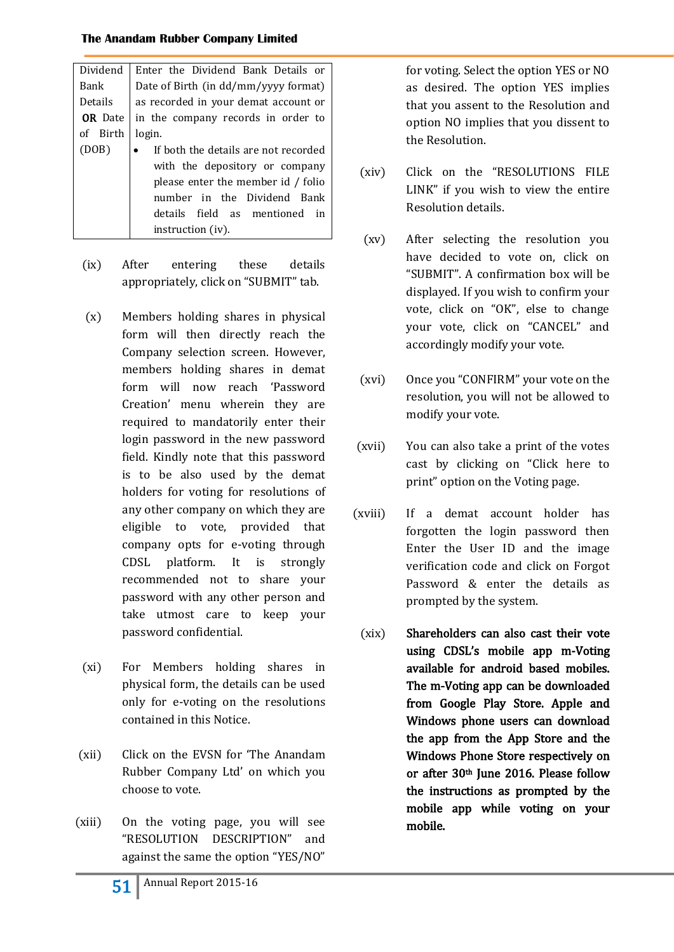| Dividend       | Enter the Dividend Bank Details or   |  |  |  |
|----------------|--------------------------------------|--|--|--|
| Bank           | Date of Birth (in dd/mm/yyyy format) |  |  |  |
| Details        | as recorded in your demat account or |  |  |  |
| <b>OR</b> Date | in the company records in order to   |  |  |  |
| of Birth       | login.                               |  |  |  |
| (DOB)          | If both the details are not recorded |  |  |  |
|                | with the depository or company       |  |  |  |
|                | please enter the member id / folio   |  |  |  |
|                | number in the Dividend Bank          |  |  |  |
|                | details field as mentioned<br>in     |  |  |  |
|                | instruction (iv).                    |  |  |  |

- (ix) After entering these details appropriately, click on "SUBMIT" tab.
- (x) Members holding shares in physical form will then directly reach the Company selection screen. However, members holding shares in demat form will now reach 'Password Creation' menu wherein they are required to mandatorily enter their login password in the new password field. Kindly note that this password is to be also used by the demat holders for voting for resolutions of any other company on which they are eligible to vote, provided that company opts for e-voting through CDSL platform. It is strongly recommended not to share your password with any other person and take utmost care to keep your password confidential.
- (xi) For Members holding shares in physical form, the details can be used only for e-voting on the resolutions contained in this Notice.
- (xii) Click on the EVSN for 'The Anandam Rubber Company Ltd' on which you choose to vote.
- (xiii) On the voting page, you will see "RESOLUTION DESCRIPTION" and against the same the option "YES/NO"

for voting. Select the option YES or NO as desired. The option YES implies that you assent to the Resolution and option NO implies that you dissent to the Resolution.

- (xiv) Click on the "RESOLUTIONS FILE LINK" if you wish to view the entire Resolution details.
- (xv) After selecting the resolution you have decided to vote on, click on "SUBMIT". A confirmation box will be displayed. If you wish to confirm your vote, click on "OK", else to change your vote, click on "CANCEL" and accordingly modify your vote.
- (xvi) Once you "CONFIRM" your vote on the resolution, you will not be allowed to modify your vote.
- (xvii) You can also take a print of the votes cast by clicking on "Click here to print" option on the Voting page.
- (xviii) If a demat account holder has forgotten the login password then Enter the User ID and the image verification code and click on Forgot Password & enter the details as prompted by the system.
	- (xix) Shareholders can also cast their vote using CDSL's mobile app m-Voting available for android based mobiles. The m-Voting app can be downloaded from Google Play Store. Apple and Windows phone users can download the app from the App Store and the Windows Phone Store respectively on or after 30<sup>th</sup> June 2016. Please follow the instructions as prompted by the mobile app while voting on your mobile.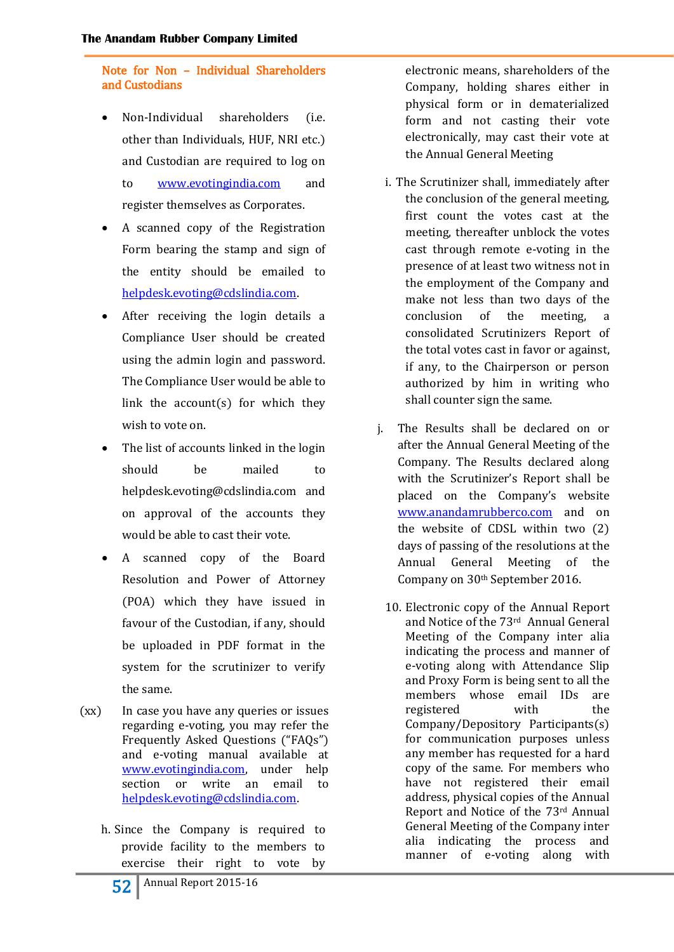Note for Non – Individual Shareholders and Custodians

- Non-Individual shareholders (i.e. other than Individuals, HUF, NRI etc.) and Custodian are required to log on to [www.evotingindia.com](http://www.evotingindia.com/) and register themselves as Corporates.
- A scanned copy of the Registration Form bearing the stamp and sign of the entity should be emailed to [helpdesk.evoting@cdslindia.com.](mailto:helpdesk.evoting@cdslindia.com)
- After receiving the login details a Compliance User should be created using the admin login and password. The Compliance User would be able to link the  $account(s)$  for which they wish to vote on.
- The list of accounts linked in the login should be mailed to helpdesk.evoting@cdslindia.com and on approval of the accounts they would be able to cast their vote.
- A scanned copy of the Board Resolution and Power of Attorney (POA) which they have issued in favour of the Custodian, if any, should be uploaded in PDF format in the system for the scrutinizer to verify the same.
- (xx) In case you have any queries or issues regarding e-voting, you may refer the Frequently Asked Questions ("FAQs") and e-voting manual available at [www.evotingindia.com,](http://www.evotingindia.com/) under help section or write an email to [helpdesk.evoting@cdslindia.com.](mailto:helpdesk.evoting@cdslindia.com)
	- h. Since the Company is required to provide facility to the members to exercise their right to vote by

electronic means, shareholders of the Company, holding shares either in physical form or in dematerialized form and not casting their vote electronically, may cast their vote at the Annual General Meeting

- i. The Scrutinizer shall, immediately after the conclusion of the general meeting, first count the votes cast at the meeting, thereafter unblock the votes cast through remote e-voting in the presence of at least two witness not in the employment of the Company and make not less than two days of the conclusion of the meeting, a consolidated Scrutinizers Report of the total votes cast in favor or against, if any, to the Chairperson or person authorized by him in writing who shall counter sign the same.
- j. The Results shall be declared on or after the Annual General Meeting of the Company. The Results declared along with the Scrutinizer's Report shall be placed on the Company's website [www.anandamrubberco.com](http://www.anandamrubberco.com/) and on the website of CDSL within two (2) days of passing of the resolutions at the Annual General Meeting of the Company on 30th September 2016.
	- 10. Electronic copy of the Annual Report and Notice of the 73rd Annual General Meeting of the Company inter alia indicating the process and manner of e-voting along with Attendance Slip and Proxy Form is being sent to all the members whose email IDs are registered with the Company/Depository Participants(s) for communication purposes unless any member has requested for a hard copy of the same. For members who have not registered their email address, physical copies of the Annual Report and Notice of the 73rd Annual General Meeting of the Company inter alia indicating the process and manner of e-voting along with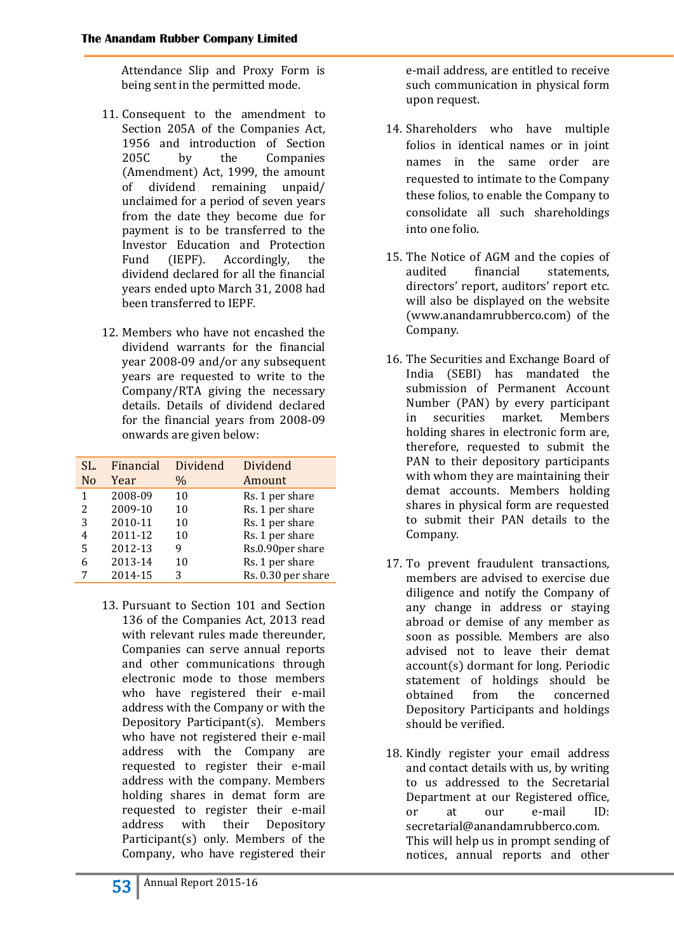Attendance Slip and Proxy Form is being sent in the permitted mode.

- 11. Consequent to the amendment to Section 205A of the Companies Act, 1956 and introduction of Section 205C by the Companies (Amendment) Act, 1999, the amount of dividend remaining unpaid/ unclaimed for a period of seven years from the date they become due for payment is to be transferred to the Investor Education and Protection Fund (IEPF). Accordingly, the dividend declared for all the financial years ended upto March 31, 2008 had been transferred to IEPF.
- 12. Members who have not encashed the dividend warrants for the financial year 2008-09 and/or any subsequent years are requested to write to the Company/RTA giving the necessary details. Details of dividend declared for the financial years from 2008-09 onwards are given below:

| SL.            | Financial | Dividend | Dividend           |
|----------------|-----------|----------|--------------------|
| N <sub>o</sub> | Year      | $\%$     | Amount             |
| 1              | 2008-09   | 10       | Rs. 1 per share    |
| 2              | 2009-10   | 10       | Rs. 1 per share    |
| 3              | 2010-11   | 10       | Rs. 1 per share    |
| 4              | 2011-12   | 10       | Rs. 1 per share    |
| 5              | 2012-13   | 9        | Rs.0.90per share   |
| 6              | 2013-14   | 10       | Rs. 1 per share    |
|                | 2014-15   | 3        | Rs. 0.30 per share |

13. Pursuant to Section 101 and Section 136 of the Companies Act, 2013 read with relevant rules made thereunder, Companies can serve annual reports and other communications through electronic mode to those members who have registered their e-mail address with the Company or with the Depository Participant(s). Members who have not registered their e-mail address with the Company are requested to register their e-mail address with the company. Members holding shares in demat form are requested to register their e-mail address with their Depository Participant(s) only. Members of the Company, who have registered their

e-mail address, are entitled to receive such communication in physical form upon request.

- 14. Shareholders who have multiple folios in identical names or in joint names in the same order are requested to intimate to the Company these folios, to enable the Company to consolidate all such shareholdings into one folio.
- 15. The Notice of AGM and the copies of audited financial statements, directors' report, auditors' report etc. will also be displayed on the website (www.anandamrubberco.com) of the Company.
- 16. The Securities and Exchange Board of India (SEBI) has mandated the submission of Permanent Account Number (PAN) by every participant in securities market. Members holding shares in electronic form are, therefore, requested to submit the PAN to their depository participants with whom they are maintaining their demat accounts. Members holding shares in physical form are requested to submit their PAN details to the Company.
- 17. To prevent fraudulent transactions, members are advised to exercise due diligence and notify the Company of any change in address or staying abroad or demise of any member as soon as possible. Members are also advised not to leave their demat account(s) dormant for long. Periodic statement of holdings should be obtained from the concerned Depository Participants and holdings should be verified.
- 18. Kindly register your email address and contact details with us, by writing to us addressed to the Secretarial Department at our Registered office, or at our e-mail ID: secretarial@anandamrubberco.com. This will help us in prompt sending of notices, annual reports and other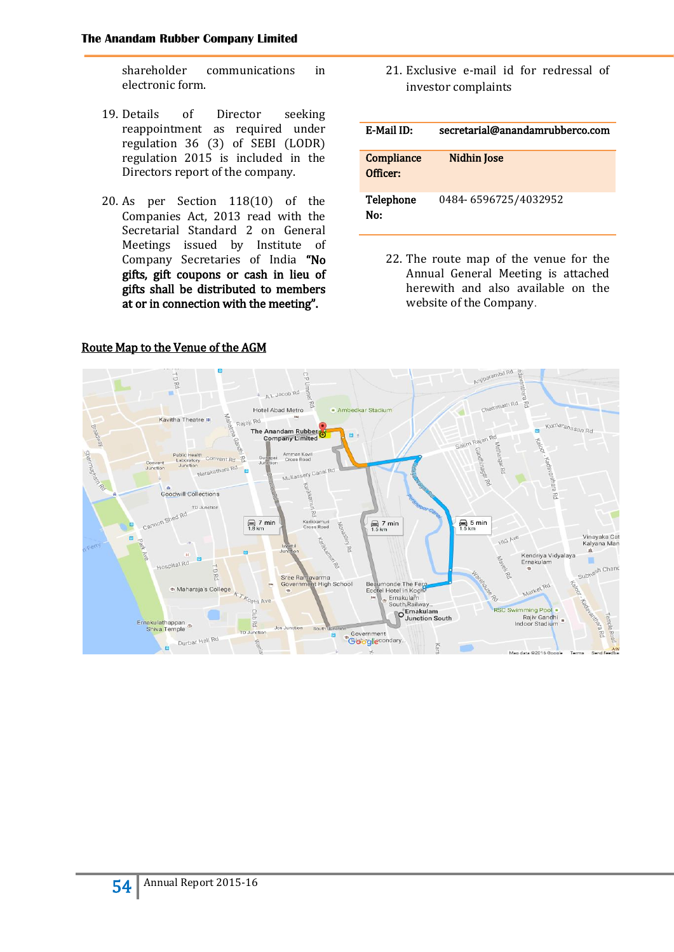shareholder communications in electronic form.

- 19. Details of Director seeking reappointment as required under regulation 36 (3) of SEBI (LODR) regulation 2015 is included in the Directors report of the company.
- 20. As per Section 118(10) of the Companies Act, 2013 read with the Secretarial Standard 2 on General Meetings issued by Institute of Company Secretaries of India "No gifts, gift coupons or cash in lieu of gifts shall be distributed to members at or in connection with the meeting".

21. Exclusive e-mail id for redressal of investor complaints

| <b>E-Mail ID:</b>      | secretarial@anandamrubberco.com |
|------------------------|---------------------------------|
| Compliance<br>Officer: | Nidhin Jose                     |
| Telephone<br>No:       | 0484-6596725/4032952            |

22. The route map of the venue for the Annual General Meeting is attached herewith and also available on the website of the Company.



## Route Map to the Venue of the AGM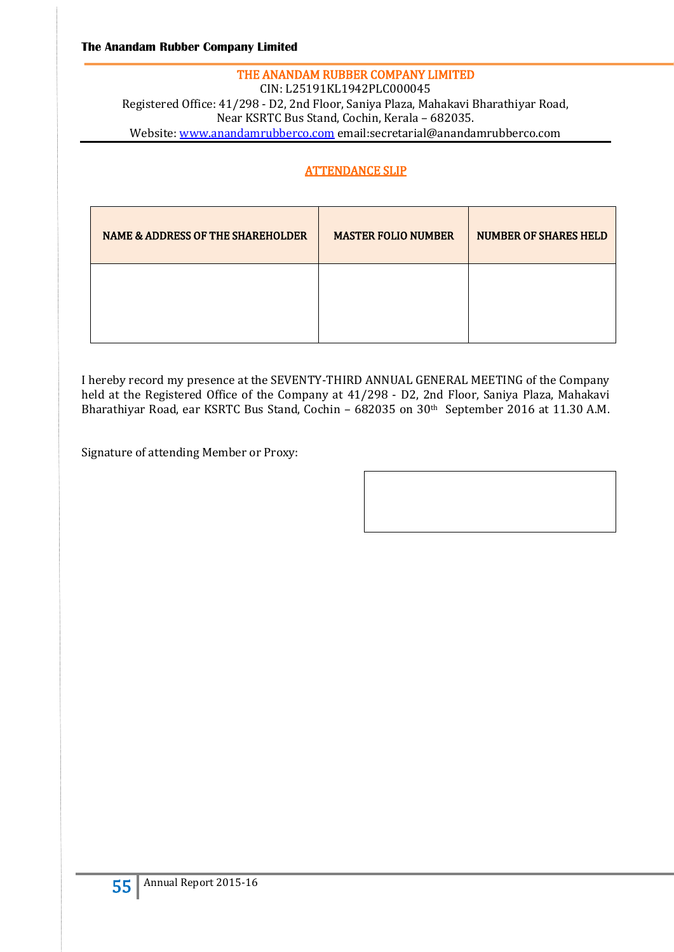## THE ANANDAM RUBBER COMPANY LIMITED CIN: L25191KL1942PLC000045 Registered Office: 41/298 - D2, 2nd Floor, Saniya Plaza, Mahakavi Bharathiyar Road, Near KSRTC Bus Stand, Cochin, Kerala – 682035. Website: [www.anandamrubberco.com](http://www.anandamrubberco.com/) email:secretarial@anandamrubberco.com

# ATTENDANCE SLIP

| <b>NAME &amp; ADDRESS OF THE SHAREHOLDER</b> | <b>MASTER FOLIO NUMBER</b> | <b>NUMBER OF SHARES HELD</b> |
|----------------------------------------------|----------------------------|------------------------------|
|                                              |                            |                              |

I hereby record my presence at the SEVENTY-THIRD ANNUAL GENERAL MEETING of the Company held at the Registered Office of the Company at 41/298 - D2, 2nd Floor, Saniya Plaza, Mahakavi Bharathiyar Road, ear KSRTC Bus Stand, Cochin – 682035 on 30th September 2016 at 11.30 A.M.

Signature of attending Member or Proxy: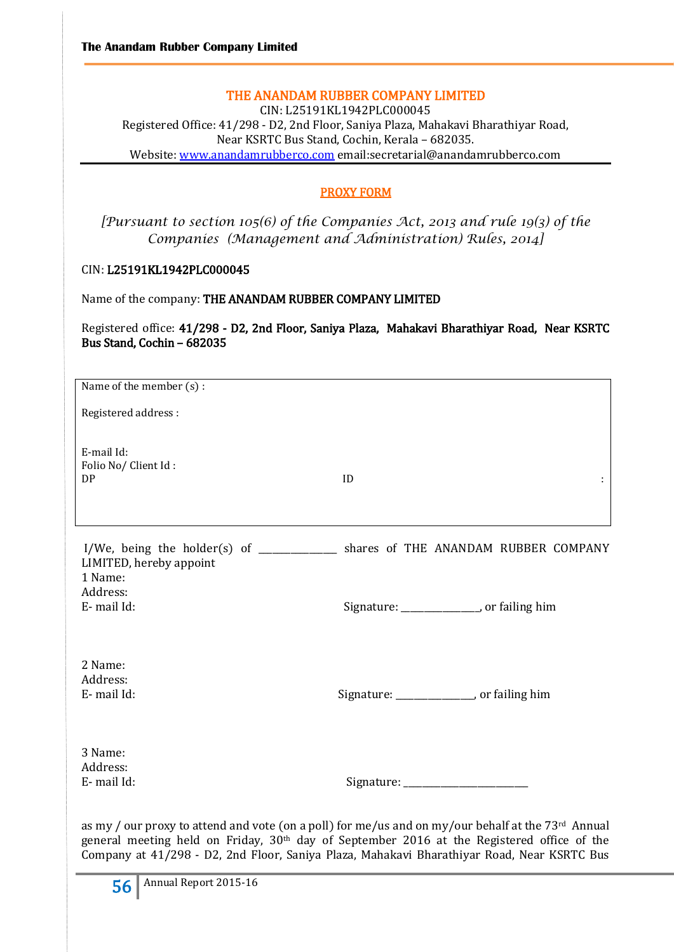## THE ANANDAM RUBBER COMPANY LIMITED

CIN: L25191KL1942PLC000045 Registered Office: 41/298 - D2, 2nd Floor, Saniya Plaza, Mahakavi Bharathiyar Road, Near KSRTC Bus Stand, Cochin, Kerala – 682035. Website: [www.anandamrubberco.com](http://www.anandamrubberco.com/) email:secretarial@anandamrubberco.com

#### PROXY FORM

*[Pursuant to section 105(6) of the Companies Act, 2013 and rule 19(3) of the Companies (Management and Administration) Rules, 2014]*

#### CIN: L25191KL1942PLC000045

Name of the company: THE ANANDAM RUBBER COMPANY LIMITED

Registered office: 41/298 - D2, 2nd Floor, Saniya Plaza, Mahakavi Bharathiyar Road, Near KSRTC Bus Stand, Cochin – 682035

| Name of the member (s):                 |                                                                                                                                                                                                                                                                                                            |
|-----------------------------------------|------------------------------------------------------------------------------------------------------------------------------------------------------------------------------------------------------------------------------------------------------------------------------------------------------------|
| Registered address:                     |                                                                                                                                                                                                                                                                                                            |
| E-mail Id:<br>Folio No/Client Id:<br>DP | ID                                                                                                                                                                                                                                                                                                         |
| LIMITED, hereby appoint                 | I/We, being the holder(s) of _____________ shares of THE ANANDAM RUBBER COMPANY                                                                                                                                                                                                                            |
| 1 Name:<br>Address:<br>E-mail Id:       | Signature: _________________, or failing him                                                                                                                                                                                                                                                               |
| 2 Name:<br>Address:<br>E-mail Id:       | Signature: _________________, or failing him                                                                                                                                                                                                                                                               |
| 3 Name:<br>Address:<br>E-mail Id:       | Signature: ________________________                                                                                                                                                                                                                                                                        |
|                                         | as my / our proxy to attend and vote (on a poll) for me/us and on my/our behalf at the 73rd Annual<br>general meeting held on Friday, 30 <sup>th</sup> day of September 2016 at the Registered office of the<br>Company at 41/298 - D2, 2nd Floor, Saniya Plaza, Mahakavi Bharathiyar Road, Near KSRTC Bus |